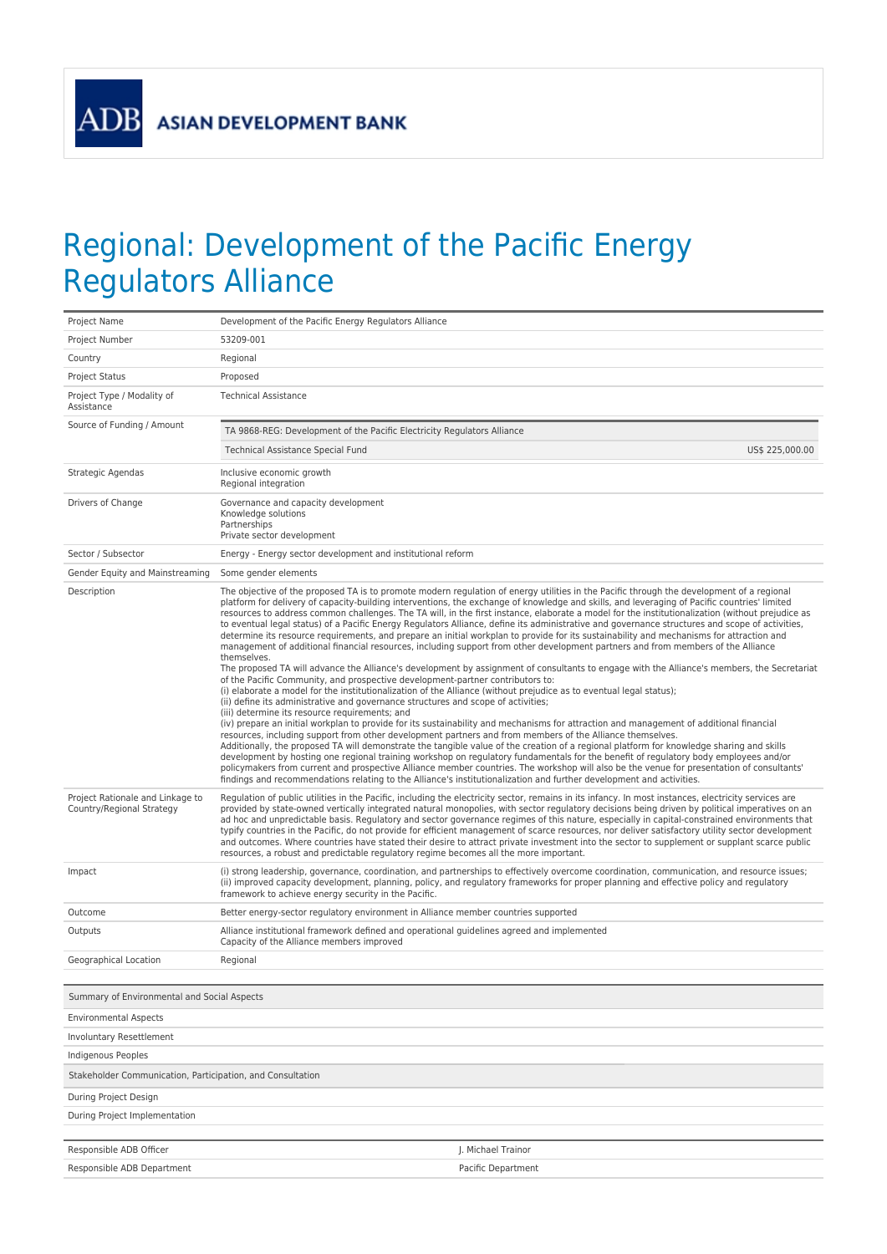**ADB** 

## Regional: Development of the Pacific Energy Regulators Alliance

| Project Name                                                  | Development of the Pacific Energy Regulators Alliance                                                                                                                                                                                                                                                                                                                                                                                                                                                                                                                                                                                                                                                                                                                                                                                                                                                                                                                                                                                                                                                                                                                                                                                                                                                                                                                                                                                                                                                                                                                                                                                                                                                                                                                                                                                                                                                                                                                                                                                                                                                                                                                                                            |  |  |  |
|---------------------------------------------------------------|------------------------------------------------------------------------------------------------------------------------------------------------------------------------------------------------------------------------------------------------------------------------------------------------------------------------------------------------------------------------------------------------------------------------------------------------------------------------------------------------------------------------------------------------------------------------------------------------------------------------------------------------------------------------------------------------------------------------------------------------------------------------------------------------------------------------------------------------------------------------------------------------------------------------------------------------------------------------------------------------------------------------------------------------------------------------------------------------------------------------------------------------------------------------------------------------------------------------------------------------------------------------------------------------------------------------------------------------------------------------------------------------------------------------------------------------------------------------------------------------------------------------------------------------------------------------------------------------------------------------------------------------------------------------------------------------------------------------------------------------------------------------------------------------------------------------------------------------------------------------------------------------------------------------------------------------------------------------------------------------------------------------------------------------------------------------------------------------------------------------------------------------------------------------------------------------------------------|--|--|--|
| Project Number                                                | 53209-001                                                                                                                                                                                                                                                                                                                                                                                                                                                                                                                                                                                                                                                                                                                                                                                                                                                                                                                                                                                                                                                                                                                                                                                                                                                                                                                                                                                                                                                                                                                                                                                                                                                                                                                                                                                                                                                                                                                                                                                                                                                                                                                                                                                                        |  |  |  |
| Country                                                       | Regional                                                                                                                                                                                                                                                                                                                                                                                                                                                                                                                                                                                                                                                                                                                                                                                                                                                                                                                                                                                                                                                                                                                                                                                                                                                                                                                                                                                                                                                                                                                                                                                                                                                                                                                                                                                                                                                                                                                                                                                                                                                                                                                                                                                                         |  |  |  |
| <b>Project Status</b>                                         | Proposed                                                                                                                                                                                                                                                                                                                                                                                                                                                                                                                                                                                                                                                                                                                                                                                                                                                                                                                                                                                                                                                                                                                                                                                                                                                                                                                                                                                                                                                                                                                                                                                                                                                                                                                                                                                                                                                                                                                                                                                                                                                                                                                                                                                                         |  |  |  |
| Project Type / Modality of<br>Assistance                      | <b>Technical Assistance</b>                                                                                                                                                                                                                                                                                                                                                                                                                                                                                                                                                                                                                                                                                                                                                                                                                                                                                                                                                                                                                                                                                                                                                                                                                                                                                                                                                                                                                                                                                                                                                                                                                                                                                                                                                                                                                                                                                                                                                                                                                                                                                                                                                                                      |  |  |  |
| Source of Funding / Amount                                    | TA 9868-REG: Development of the Pacific Electricity Regulators Alliance                                                                                                                                                                                                                                                                                                                                                                                                                                                                                                                                                                                                                                                                                                                                                                                                                                                                                                                                                                                                                                                                                                                                                                                                                                                                                                                                                                                                                                                                                                                                                                                                                                                                                                                                                                                                                                                                                                                                                                                                                                                                                                                                          |  |  |  |
|                                                               | Technical Assistance Special Fund<br>US\$ 225,000.00                                                                                                                                                                                                                                                                                                                                                                                                                                                                                                                                                                                                                                                                                                                                                                                                                                                                                                                                                                                                                                                                                                                                                                                                                                                                                                                                                                                                                                                                                                                                                                                                                                                                                                                                                                                                                                                                                                                                                                                                                                                                                                                                                             |  |  |  |
| Strategic Agendas                                             | Inclusive economic growth<br>Regional integration                                                                                                                                                                                                                                                                                                                                                                                                                                                                                                                                                                                                                                                                                                                                                                                                                                                                                                                                                                                                                                                                                                                                                                                                                                                                                                                                                                                                                                                                                                                                                                                                                                                                                                                                                                                                                                                                                                                                                                                                                                                                                                                                                                |  |  |  |
| Drivers of Change                                             | Governance and capacity development<br>Knowledge solutions<br>Partnerships<br>Private sector development                                                                                                                                                                                                                                                                                                                                                                                                                                                                                                                                                                                                                                                                                                                                                                                                                                                                                                                                                                                                                                                                                                                                                                                                                                                                                                                                                                                                                                                                                                                                                                                                                                                                                                                                                                                                                                                                                                                                                                                                                                                                                                         |  |  |  |
| Sector / Subsector                                            | Energy - Energy sector development and institutional reform                                                                                                                                                                                                                                                                                                                                                                                                                                                                                                                                                                                                                                                                                                                                                                                                                                                                                                                                                                                                                                                                                                                                                                                                                                                                                                                                                                                                                                                                                                                                                                                                                                                                                                                                                                                                                                                                                                                                                                                                                                                                                                                                                      |  |  |  |
| Gender Equity and Mainstreaming                               | Some gender elements                                                                                                                                                                                                                                                                                                                                                                                                                                                                                                                                                                                                                                                                                                                                                                                                                                                                                                                                                                                                                                                                                                                                                                                                                                                                                                                                                                                                                                                                                                                                                                                                                                                                                                                                                                                                                                                                                                                                                                                                                                                                                                                                                                                             |  |  |  |
| Description                                                   | The objective of the proposed TA is to promote modern regulation of energy utilities in the Pacific through the development of a regional<br>platform for delivery of capacity-building interventions, the exchange of knowledge and skills, and leveraging of Pacific countries' limited<br>resources to address common challenges. The TA will, in the first instance, elaborate a model for the institutionalization (without prejudice as<br>to eventual legal status) of a Pacific Energy Regulators Alliance, define its administrative and governance structures and scope of activities,<br>determine its resource requirements, and prepare an initial workplan to provide for its sustainability and mechanisms for attraction and<br>management of additional financial resources, including support from other development partners and from members of the Alliance<br>themselves.<br>The proposed TA will advance the Alliance's development by assignment of consultants to engage with the Alliance's members, the Secretariat<br>of the Pacific Community, and prospective development-partner contributors to:<br>(i) elaborate a model for the institutionalization of the Alliance (without prejudice as to eventual legal status);<br>(ii) define its administrative and governance structures and scope of activities;<br>(iii) determine its resource requirements; and<br>(iv) prepare an initial workplan to provide for its sustainability and mechanisms for attraction and management of additional financial<br>resources, including support from other development partners and from members of the Alliance themselves.<br>Additionally, the proposed TA will demonstrate the tangible value of the creation of a regional platform for knowledge sharing and skills<br>development by hosting one regional training workshop on regulatory fundamentals for the benefit of regulatory body employees and/or<br>policymakers from current and prospective Alliance member countries. The workshop will also be the venue for presentation of consultants'<br>findings and recommendations relating to the Alliance's institutionalization and further development and activities. |  |  |  |
| Project Rationale and Linkage to<br>Country/Regional Strategy | Regulation of public utilities in the Pacific, including the electricity sector, remains in its infancy. In most instances, electricity services are<br>provided by state-owned vertically integrated natural monopolies, with sector regulatory decisions being driven by political imperatives on an<br>ad hoc and unpredictable basis. Regulatory and sector governance regimes of this nature, especially in capital-constrained environments that<br>typify countries in the Pacific, do not provide for efficient management of scarce resources, nor deliver satisfactory utility sector development<br>and outcomes. Where countries have stated their desire to attract private investment into the sector to supplement or supplant scarce public<br>resources, a robust and predictable regulatory regime becomes all the more important.                                                                                                                                                                                                                                                                                                                                                                                                                                                                                                                                                                                                                                                                                                                                                                                                                                                                                                                                                                                                                                                                                                                                                                                                                                                                                                                                                             |  |  |  |
| Impact                                                        | (i) strong leadership, governance, coordination, and partnerships to effectively overcome coordination, communication, and resource issues;<br>(ii) improved capacity development, planning, policy, and regulatory frameworks for proper planning and effective policy and regulatory<br>framework to achieve energy security in the Pacific.                                                                                                                                                                                                                                                                                                                                                                                                                                                                                                                                                                                                                                                                                                                                                                                                                                                                                                                                                                                                                                                                                                                                                                                                                                                                                                                                                                                                                                                                                                                                                                                                                                                                                                                                                                                                                                                                   |  |  |  |
| Outcome                                                       | Better energy-sector regulatory environment in Alliance member countries supported                                                                                                                                                                                                                                                                                                                                                                                                                                                                                                                                                                                                                                                                                                                                                                                                                                                                                                                                                                                                                                                                                                                                                                                                                                                                                                                                                                                                                                                                                                                                                                                                                                                                                                                                                                                                                                                                                                                                                                                                                                                                                                                               |  |  |  |
| Outputs                                                       | Alliance institutional framework defined and operational quidelines agreed and implemented<br>Capacity of the Alliance members improved                                                                                                                                                                                                                                                                                                                                                                                                                                                                                                                                                                                                                                                                                                                                                                                                                                                                                                                                                                                                                                                                                                                                                                                                                                                                                                                                                                                                                                                                                                                                                                                                                                                                                                                                                                                                                                                                                                                                                                                                                                                                          |  |  |  |
| Geographical Location                                         | Regional                                                                                                                                                                                                                                                                                                                                                                                                                                                                                                                                                                                                                                                                                                                                                                                                                                                                                                                                                                                                                                                                                                                                                                                                                                                                                                                                                                                                                                                                                                                                                                                                                                                                                                                                                                                                                                                                                                                                                                                                                                                                                                                                                                                                         |  |  |  |
| Summary of Environmental and Social Aspects                   |                                                                                                                                                                                                                                                                                                                                                                                                                                                                                                                                                                                                                                                                                                                                                                                                                                                                                                                                                                                                                                                                                                                                                                                                                                                                                                                                                                                                                                                                                                                                                                                                                                                                                                                                                                                                                                                                                                                                                                                                                                                                                                                                                                                                                  |  |  |  |
| <b>Environmental Aspects</b>                                  |                                                                                                                                                                                                                                                                                                                                                                                                                                                                                                                                                                                                                                                                                                                                                                                                                                                                                                                                                                                                                                                                                                                                                                                                                                                                                                                                                                                                                                                                                                                                                                                                                                                                                                                                                                                                                                                                                                                                                                                                                                                                                                                                                                                                                  |  |  |  |
| Involuntary Resettlement                                      |                                                                                                                                                                                                                                                                                                                                                                                                                                                                                                                                                                                                                                                                                                                                                                                                                                                                                                                                                                                                                                                                                                                                                                                                                                                                                                                                                                                                                                                                                                                                                                                                                                                                                                                                                                                                                                                                                                                                                                                                                                                                                                                                                                                                                  |  |  |  |
| Indigenous Peoples                                            |                                                                                                                                                                                                                                                                                                                                                                                                                                                                                                                                                                                                                                                                                                                                                                                                                                                                                                                                                                                                                                                                                                                                                                                                                                                                                                                                                                                                                                                                                                                                                                                                                                                                                                                                                                                                                                                                                                                                                                                                                                                                                                                                                                                                                  |  |  |  |
| Stakeholder Communication, Participation, and Consultation    |                                                                                                                                                                                                                                                                                                                                                                                                                                                                                                                                                                                                                                                                                                                                                                                                                                                                                                                                                                                                                                                                                                                                                                                                                                                                                                                                                                                                                                                                                                                                                                                                                                                                                                                                                                                                                                                                                                                                                                                                                                                                                                                                                                                                                  |  |  |  |
| During Project Design                                         |                                                                                                                                                                                                                                                                                                                                                                                                                                                                                                                                                                                                                                                                                                                                                                                                                                                                                                                                                                                                                                                                                                                                                                                                                                                                                                                                                                                                                                                                                                                                                                                                                                                                                                                                                                                                                                                                                                                                                                                                                                                                                                                                                                                                                  |  |  |  |
| During Project Implementation                                 |                                                                                                                                                                                                                                                                                                                                                                                                                                                                                                                                                                                                                                                                                                                                                                                                                                                                                                                                                                                                                                                                                                                                                                                                                                                                                                                                                                                                                                                                                                                                                                                                                                                                                                                                                                                                                                                                                                                                                                                                                                                                                                                                                                                                                  |  |  |  |
|                                                               |                                                                                                                                                                                                                                                                                                                                                                                                                                                                                                                                                                                                                                                                                                                                                                                                                                                                                                                                                                                                                                                                                                                                                                                                                                                                                                                                                                                                                                                                                                                                                                                                                                                                                                                                                                                                                                                                                                                                                                                                                                                                                                                                                                                                                  |  |  |  |
| Responsible ADB Officer                                       | J. Michael Trainor                                                                                                                                                                                                                                                                                                                                                                                                                                                                                                                                                                                                                                                                                                                                                                                                                                                                                                                                                                                                                                                                                                                                                                                                                                                                                                                                                                                                                                                                                                                                                                                                                                                                                                                                                                                                                                                                                                                                                                                                                                                                                                                                                                                               |  |  |  |
| Responsible ADB Department                                    | Pacific Department                                                                                                                                                                                                                                                                                                                                                                                                                                                                                                                                                                                                                                                                                                                                                                                                                                                                                                                                                                                                                                                                                                                                                                                                                                                                                                                                                                                                                                                                                                                                                                                                                                                                                                                                                                                                                                                                                                                                                                                                                                                                                                                                                                                               |  |  |  |